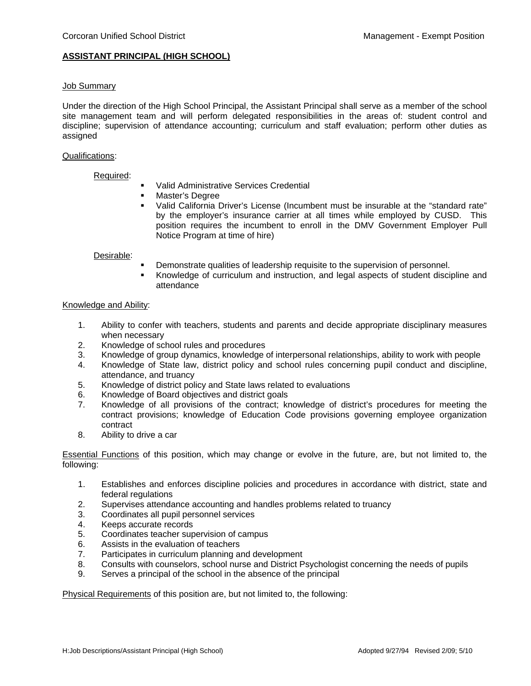# **ASSISTANT PRINCIPAL (HIGH SCHOOL)**

### Job Summary

Under the direction of the High School Principal, the Assistant Principal shall serve as a member of the school site management team and will perform delegated responsibilities in the areas of: student control and discipline; supervision of attendance accounting; curriculum and staff evaluation; perform other duties as assigned

## Qualifications:

## Required:

- Valid Administrative Services Credential
- Master's Degree
- Valid California Driver's License (Incumbent must be insurable at the "standard rate" by the employer's insurance carrier at all times while employed by CUSD. This position requires the incumbent to enroll in the DMV Government Employer Pull Notice Program at time of hire)

#### Desirable:

- Demonstrate qualities of leadership requisite to the supervision of personnel.
- Knowledge of curriculum and instruction, and legal aspects of student discipline and attendance

### Knowledge and Ability:

- 1. Ability to confer with teachers, students and parents and decide appropriate disciplinary measures when necessary
- 2. Knowledge of school rules and procedures
- 3. Knowledge of group dynamics, knowledge of interpersonal relationships, ability to work with people
- 4. Knowledge of State law, district policy and school rules concerning pupil conduct and discipline, attendance, and truancy
- 5. Knowledge of district policy and State laws related to evaluations
- 6. Knowledge of Board objectives and district goals
- 7. Knowledge of all provisions of the contract; knowledge of district's procedures for meeting the contract provisions; knowledge of Education Code provisions governing employee organization contract
- 8. Ability to drive a car

Essential Functions of this position, which may change or evolve in the future, are, but not limited to, the following:

- 1. Establishes and enforces discipline policies and procedures in accordance with district, state and federal regulations
- 2. Supervises attendance accounting and handles problems related to truancy
- 3. Coordinates all pupil personnel services
- 4. Keeps accurate records
- 5. Coordinates teacher supervision of campus
- 6. Assists in the evaluation of teachers
- 7. Participates in curriculum planning and development
- 8. Consults with counselors, school nurse and District Psychologist concerning the needs of pupils
- 9. Serves a principal of the school in the absence of the principal

Physical Requirements of this position are, but not limited to, the following: